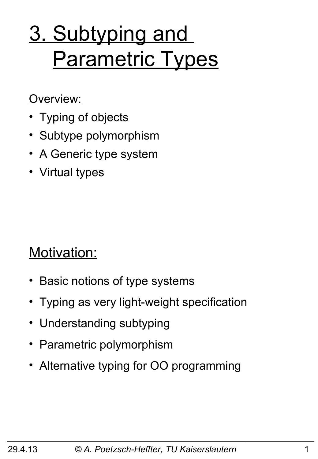# 3. Subtyping and **Parametric Types**

Overview:

- Typing of objects
- Subtype polymorphism
- A Generic type system
- Virtual types

Motivation:

- Basic notions of type systems
- Typing as very light-weight specification
- Understanding subtyping
- Parametric polymorphism
- Alternative typing for OO programming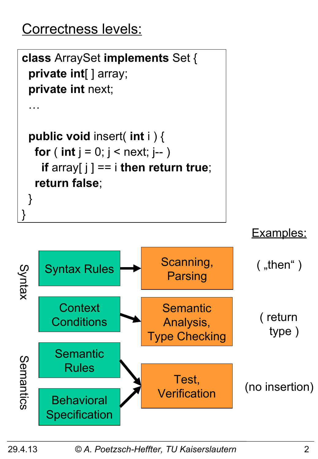# Correctness levels:

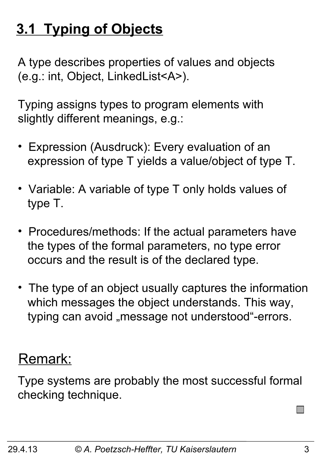# **3.1 Typing of Objects**

A type describes properties of values and objects (e.g.: int, Object, LinkedList<A>).

Typing assigns types to program elements with slightly different meanings, e.g.:

- Expression (Ausdruck): Every evaluation of an expression of type T yields a value/object of type T.
- Variable: A variable of type T only holds values of type T.
- Procedures/methods: If the actual parameters have the types of the formal parameters, no type error occurs and the result is of the declared type.
- The type of an object usually captures the information which messages the object understands. This way, typing can avoid "message not understood"-errors.

#### Remark:

Type systems are probably the most successful formal checking technique.

 $\Box$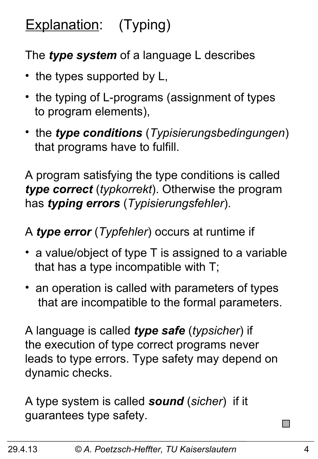# Explanation: (Typing)

#### The *type system* of a language L describes

- the types supported by L,
- the typing of L-programs (assignment of types to program elements),
- the *type conditions* (*Typisierungsbedingungen*) that programs have to fulfill.

A program satisfying the type conditions is called *type correct* (*typkorrekt*). Otherwise the program has *typing errors* (*Typisierungsfehler*).

A *type error* (*Typfehler*) occurs at runtime if

- a value/object of type T is assigned to a variable that has a type incompatible with T;
- an operation is called with parameters of types that are incompatible to the formal parameters.

A language is called *type safe* (*typsicher*) if the execution of type correct programs never leads to type errors. Type safety may depend on dynamic checks.

A type system is called *sound* (*sicher*) if it guarantees type safety.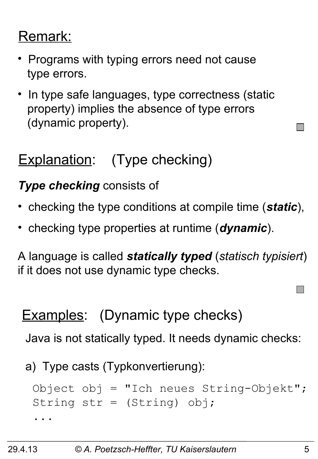#### Remark:

- Programs with typing errors need not cause type errors.
- In type safe languages, type correctness (static property) implies the absence of type errors (dynamic property).

# Explanation: (Type checking)

#### *Type checking* consists of

- checking the type conditions at compile time (*static*),
- checking type properties at runtime (*dynamic*).

A language is called *statically typed* (*statisch typisiert*) if it does not use dynamic type checks.

# **Examples:** (Dynamic type checks)

Java is not statically typed. It needs dynamic checks:

a) Type casts (Typkonvertierung):

```
Object obj = "Ich neues String-Objekt";
String str = (String) obj;
...
```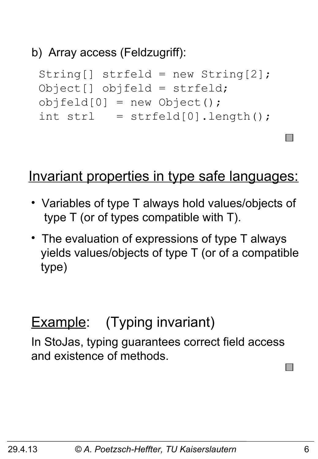#### b) Array access (Feldzugriff):

```
String[] strfeld = new String[2];
Object[] objfeld = strfeld;
objfeld[0] = new Object();
int str1 = strfeld[0].length();
```
#### Invariant properties in type safe languages:

- Variables of type T always hold values/objects of type T (or of types compatible with T).
- The evaluation of expressions of type T always yields values/objects of type T (or of a compatible type)

### **Example:** (Typing invariant)

In StoJas, typing guarantees correct field access and existence of methods.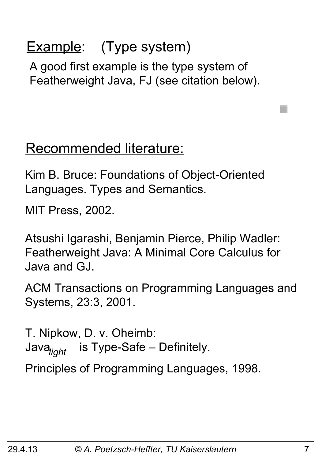# Example: (Type system)

A good first example is the type system of Featherweight Java, FJ (see citation below).

#### Recommended literature:

Kim B. Bruce: Foundations of Object-Oriented Languages. Types and Semantics.

MIT Press, 2002.

Atsushi Igarashi, Benjamin Pierce, Philip Wadler: Featherweight Java: A Minimal Core Calculus for Java and GJ.

ACM Transactions on Programming Languages and Systems, 23:3, 2001.

T. Nipkow, D. v. Oheimb: is Type-Safe – Definitely. *light*

Principles of Programming Languages, 1998.

 $\Box$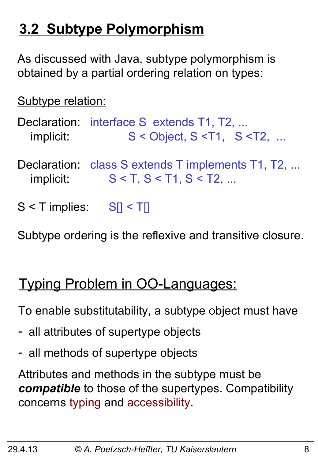# **3.2 Subtype Polymorphism**

As discussed with Java, subtype polymorphism is obtained by a partial ordering relation on types:

Subtype relation:

Declaration: interface S extends T1, T2, ... implicit:  $S <$  Object,  $S <$ T1,  $S <$ T2, ...

- Declaration: class S extends T implements T1, T2, ... implicit:  $S < T$ ,  $S < T1$ ,  $S < T2$ , ...
- $S < T$  implies:  $S_I < T_I$

Subtype ordering is the reflexive and transitive closure.

# Typing Problem in OO-Languages:

To enable substitutability, a subtype object must have

- all attributes of supertype objects
- all methods of supertype objects

Attributes and methods in the subtype must be *compatible* to those of the supertypes. Compatibility concerns typing and accessibility.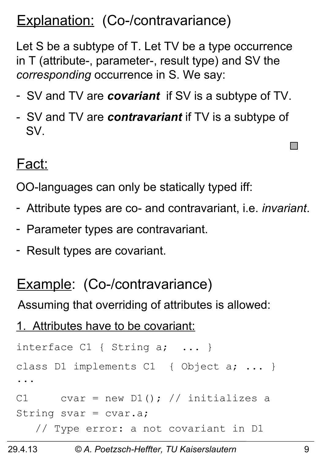## Explanation: (Co-/contravariance)

Let S be a subtype of T. Let TV be a type occurrence in T (attribute-, parameter-, result type) and SV the *corresponding* occurrence in S. We say:

- SV and TV are *covariant* if SV is a subtype of TV.
- SV and TV are *contravariant* if TV is a subtype of SV.

#### Fact:

OO-languages can only be statically typed iff:

- Attribute types are co- and contravariant, i.e. *invariant*.
- Parameter types are contravariant.
- Result types are covariant.

#### Example: (Co-/contravariance)

Assuming that overriding of attributes is allowed:

1. Attributes have to be covariant:

```
interface C1 { String a; ... }
class D1 implements C1 { Object a; ... }
...
C1 cvar = new D1(); // initializes a
String svar = cvar.a; // Type error: a not covariant in D1
```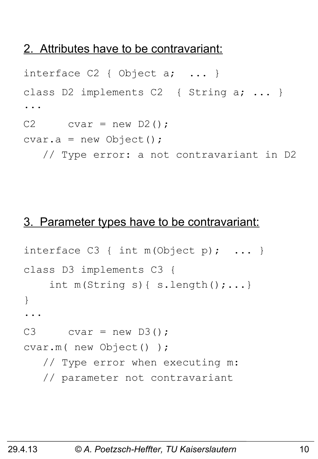#### 2. Attributes have to be contravariant:

```
interface C2 { Object a; ... }
class D2 implements C2 { String a; ... }
...
C2 cvar = new D2();
cvar.a = new Object();
    // Type error: a not contravariant in D2
```
#### 3. Parameter types have to be contravariant:

```
interface C3 \{ int m(Object p); ... \}class D3 implements C3 { 
    int m(String s) { s.length();...}
}
...
C3 cvar = new D3();
cvar.m( new Object() );
    // Type error when executing m: 
    // parameter not contravariant
```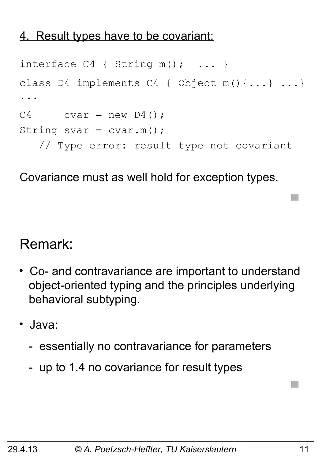#### 4. Result types have to be covariant:

```
interface C4 { String m(); ... }
class D4 implements C4 { Object m(){...} ...}
...
C4 cvar = new D4();
String svar = cvar.m();
    // Type error: result type not covariant
```
Covariance must as well hold for exception types.

#### Remark:

- Co- and contravariance are important to understand object-oriented typing and the principles underlying behavioral subtyping.
- Java:
	- essentially no contravariance for parameters
	- up to 1.4 no covariance for result types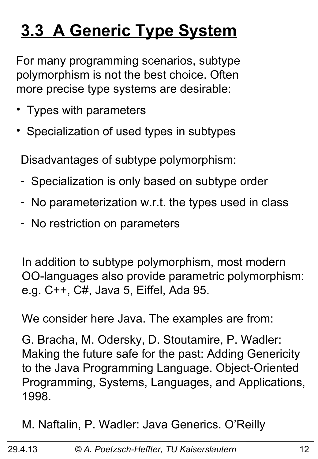# **3.3 A Generic Type System**

For many programming scenarios, subtype polymorphism is not the best choice. Often more precise type systems are desirable:

- Types with parameters
- Specialization of used types in subtypes

Disadvantages of subtype polymorphism:

- Specialization is only based on subtype order
- No parameterization w.r.t. the types used in class
- No restriction on parameters

In addition to subtype polymorphism, most modern OO-languages also provide parametric polymorphism: e.g. C++, C#, Java 5, Eiffel, Ada 95.

We consider here Java. The examples are from:

G. Bracha, M. Odersky, D. Stoutamire, P. Wadler: Making the future safe for the past: Adding Genericity to the Java Programming Language. Object-Oriented Programming, Systems, Languages, and Applications, 1998.

M. Naftalin, P. Wadler: Java Generics. O'Reilly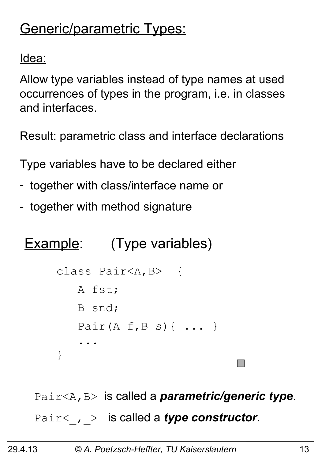# Generic/parametric Types:

Idea:

Allow type variables instead of type names at used occurrences of types in the program, i.e. in classes and interfaces.

Result: parametric class and interface declarations

Type variables have to be declared either

- together with class/interface name or
- together with method signature

# **Example:** (Type variables)

```
class Pair<A,B> {
    A fst;
    B snd;
   Pair(A f, B s) \{ \ldots \} ...
}
```
Pair<A,B> is called a *parametric/generic type*. Pair< , > is called a *type constructor*.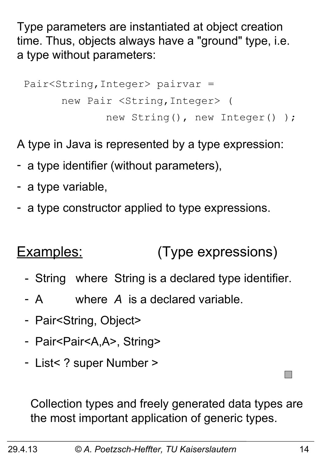Type parameters are instantiated at object creation time. Thus, objects always have a "ground" type, i.e. a type without parameters:

```
 Pair<String,Integer> pairvar = 
       new Pair <String,Integer> ( 
               new String(), new Integer() );
```
A type in Java is represented by a type expression:

- a type identifier (without parameters),
- a type variable,
- a type constructor applied to type expressions.

#### Examples: (Type expressions)

- String where String is a declared type identifier.
- A where *A* is a declared variable.
- Pair<String, Object>
- Pair<Pair<A,A>, String>
- List< ? super Number >

Collection types and freely generated data types are the most important application of generic types.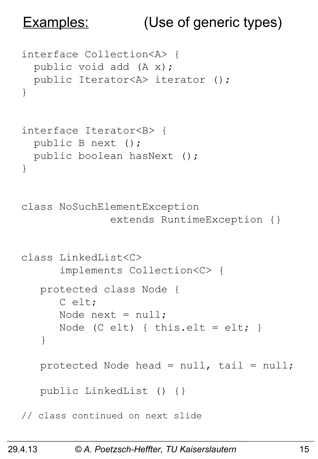#### Examples: (Use of generic types)

```
interface Collection<A> {
  public void add (A x);
   public Iterator<A> iterator ();
}
interface Iterator<B> {
   public B next ();
   public boolean hasNext ();
}
class NoSuchElementException 
                extends RuntimeException {}
class LinkedList<C> 
       implements Collection<C> {
    protected class Node {
       C elt;
      Node next = null;Node (C elt) { this.elt = elt; }
    }
   protected Node head = null, tail = null; public LinkedList () {}
// class continued on next slide
```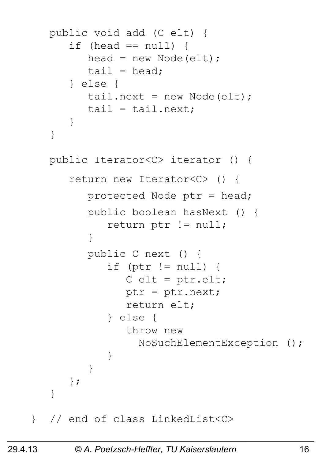```
 public void add (C elt) {
      if (head == null) {
         head = new Node(elt);
         tail = head; } else {
         tail.next = new Node(elt);
         tail = tail.next; }
    } 
   public Iterator<C> iterator () {
       return new Iterator<C> () {
          protected Node ptr = head;
          public boolean hasNext () {
             return ptr != null;
 }
          public C next () {
             if (ptr != null) {
               C elt = ptr.elt;
                ptr = ptr.next;
                return elt;
             } else {
                throw new 
                  NoSuchElementException ();
```

```
} // end of class LinkedList<C>
```
}

};

}

}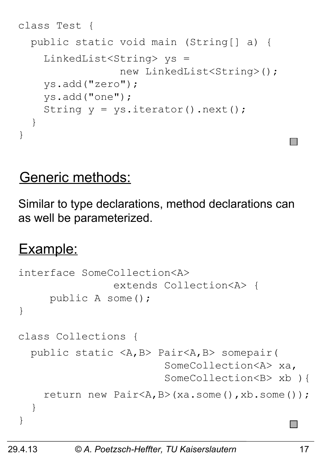```
class Test {
   public static void main (String[] a) {
     LinkedList<String> ys = 
                  new LinkedList<String>();
     ys.add("zero"); 
     ys.add("one");
    String y = ys.iterator() .next();
   }
}
```
#### Generic methods:

Similar to type declarations, method declarations can as well be parameterized.

#### Example:

```
interface SomeCollection<A> 
                 extends Collection<A> {
      public A some();
}
class Collections {
   public static <A,B> Pair<A,B> somepair( 
                          SomeCollection<A> xa,
                         SomeCollection<B> xb ){
     return new Pair<A,B>(xa.some(),xb.some());
   }
}
```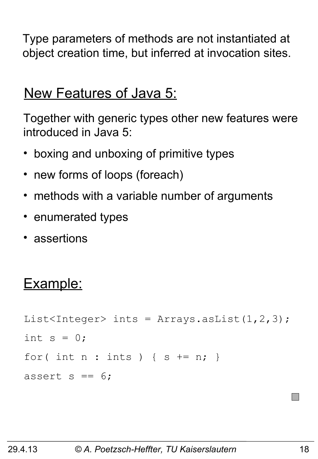Type parameters of methods are not instantiated at object creation time, but inferred at invocation sites.

#### New Features of Java 5:

Together with generic types other new features were introduced in Java 5:

- boxing and unboxing of primitive types
- new forms of loops (foreach)
- methods with a variable number of arguments
- enumerated types
- assertions

#### Example:

```
List<Integer> ints = Arrays.aslist(1,2,3);int s = 0;
for( int n : ints ) { s += n; }
assert s == 6;
```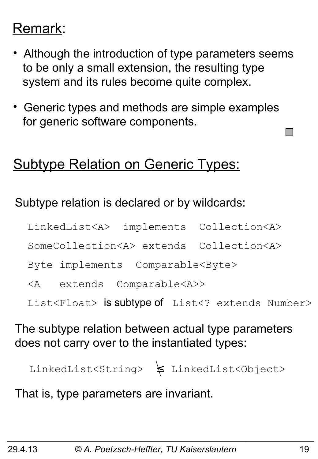## Remark:

- Although the introduction of type parameters seems to be only a small extension, the resulting type system and its rules become quite complex.
- Generic types and methods are simple examples for generic software components.

#### Subtype Relation on Generic Types:

#### Subtype relation is declared or by wildcards:

LinkedList<A> implements Collection<A>

SomeCollection<A> extends Collection<A>

Byte implements Comparable<Byte>

<A extends Comparable<A>>

List<Float> is subtype of List<? extends Number>

#### The subtype relation between actual type parameters does not carry over to the instantiated types:

LinkedList<String> ≤ LinkedList<Object>

That is, type parameters are invariant.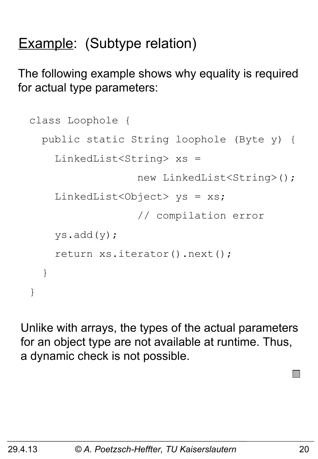# **Example:** (Subtype relation)

The following example shows why equality is required for actual type parameters:

```
class Loophole {
   public static String loophole (Byte y) {
     LinkedList<String> xs =
                   new LinkedList<String>();
    LinkedList<Object> ys = xs;
                   // compilation error
     ys.add(y);
     return xs.iterator().next();
   }
}
```
Unlike with arrays, the types of the actual parameters for an object type are not available at runtime. Thus, a dynamic check is not possible.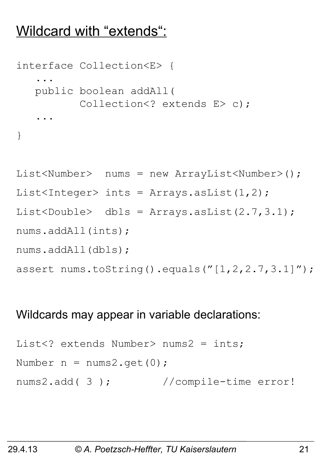#### Wildcard with "extends":

```
interface Collection<E> {
 ...
    public boolean addAll(
           Collection<? extends E> c);
 ...
}
```

```
List<Number> nums = new ArrayList<Number>();
List<Integer> ints = Arrays.asList(1,2);
List<Double> dbls = Arrays.asList(2.7,3.1);
nums.addAll(ints);
nums.addAll(dbls);
assert nums.toString().equals("[1,2,2.7,3.1]");
```
#### Wildcards may appear in variable declarations:

```
List<? extends Number> nums2 = ints;
Number n = nums2.get(0);nums2.add( 3 ); //compile-time error!
```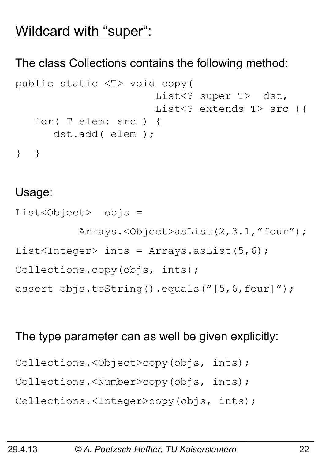#### Wildcard with "super":

#### The class Collections contains the following method:

```
public static <T> void copy(
                       List<? super T> dst,
                       List<? extends T> src ) {
    for( T elem: src ) {
       dst.add( elem );
} }
```
#### Usage:

List<Object> objs = Arrays.<Object>asList(2,3.1,"four"); List<Integer> ints = Arrays.asList(5,6); Collections.copy(objs, ints); assert objs.toString().equals("[5,6,four]");

#### The type parameter can as well be given explicitly:

Collections.<Object>copy(objs, ints);

Collections.<Number>copy(objs, ints);

Collections.<Integer>copy(objs, ints);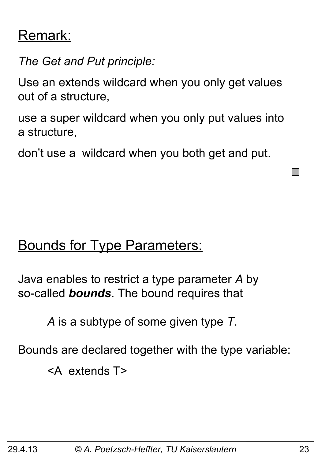#### Remark:

*The Get and Put principle:*

Use an extends wildcard when you only get values out of a structure,

use a super wildcard when you only put values into a structure,

don't use a wildcard when you both get and put.

#### Bounds for Type Parameters:

Java enables to restrict a type parameter *A* by so-called *bounds*. The bound requires that

*A* is a subtype of some given type *T*.

Bounds are declared together with the type variable:

<A extends T>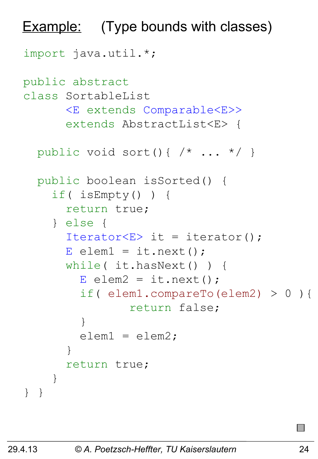```
import java.util.*;
public abstract 
class SortableList
       <E extends Comparable<E>>
       extends AbstractList<E> {
  public void sort(){ /* ... * / }
   public boolean isSorted() {
     if( isEmpty() ) {
       return true;
     } else {
      Iterator<E> it = iterator();
      E elem1 = it.next();
       while( it.hasNext() ) {
        E elem2 = it.next();
         if( elem1.compareTo(elem2) > 0 ){
                 return false;
 }
         elem1 = elem2;
 }
       return true;
     }
} }
Example: (Type bounds with classes)
```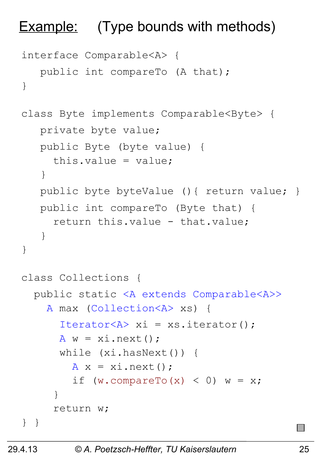#### **Example:** (Type bounds with methods)

```
interface Comparable<A> {
    public int compareTo (A that);
}
class Byte implements Comparable<Byte> {
    private byte value;
    public Byte (byte value) { 
      this.value = value;
    }
   public byte byteValue () { return value; }
    public int compareTo (Byte that) {
      return this.value - that.value;
    }
}
class Collections {
   public static <A extends Comparable<A>>
     A max (Collection<A> xs) {
      Iterator\langle A \rangle xi = xs.iterator();
      A w = x i \cdot next():
       while (xi.hasNext()) {
        A x = x i.next();if (w.\text{compareTo}(x) < 0) w = x; }
      return w;
} }
```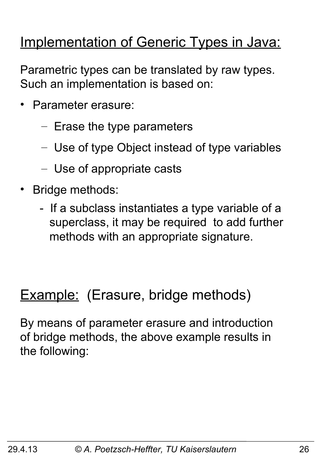#### Implementation of Generic Types in Java:

Parametric types can be translated by raw types. Such an implementation is based on:

- Parameter erasure:
	- Erase the type parameters
	- Use of type Object instead of type variables
	- Use of appropriate casts
- Bridge methods:
	- If a subclass instantiates a type variable of a superclass, it may be required to add further methods with an appropriate signature.

#### **Example:** (Erasure, bridge methods)

By means of parameter erasure and introduction of bridge methods, the above example results in the following: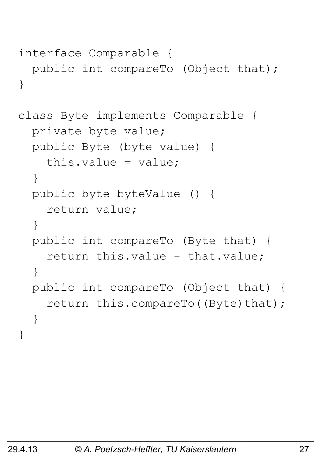```
interface Comparable {
   public int compareTo (Object that);
}
```

```
class Byte implements Comparable {
   private byte value;
   public Byte (byte value) { 
     this.value = value;
   }
   public byte byteValue () { 
     return value;
   }
   public int compareTo (Byte that) {
    return this.value - that.value;
   }
   public int compareTo (Object that) {
    return this.compareTo((Byte)that);
   }
}
```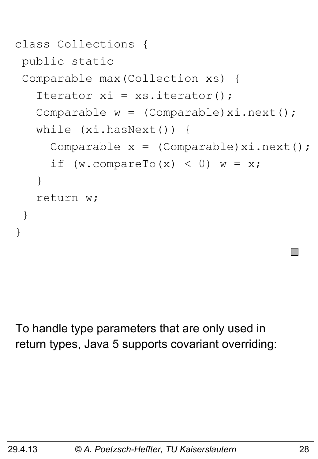```
class Collections {
public static 
 Comparable max(Collection xs) {
   Iterator xi = xs.iterator();
   Comparable w = (Compact)xi.next();
    while (xi.hasNext()) {
     Comparable x = (Compact)xi.next();
     if (w.\text{compareTo}(x) < 0) w = x; }
    return w;
 }
}
```
To handle type parameters that are only used in return types, Java 5 supports covariant overriding: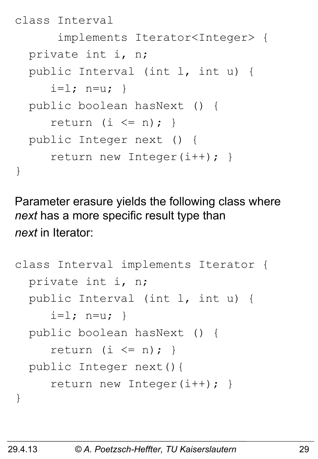```
class Interval 
       implements Iterator<Integer> {
   private int i, n;
   public Interval (int l, int u) {
     i=1; n=u; public boolean hasNext () { 
     return (i \leq n); public Integer next () { 
      return new Integer(i++); }
}
```
Parameter erasure yields the following class where *next* has a more specific result type than *next* in Iterator:

```
class Interval implements Iterator {
   private int i, n;
   public Interval (int l, int u) {
     i=1; n=u; public boolean hasNext () {
     return (i \leq n); public Integer next(){
      return new Integer(i++); }
}
```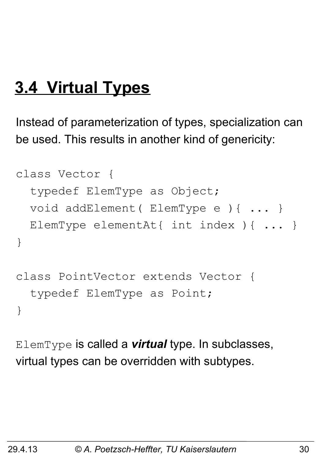# **3.4 Virtual Types**

Instead of parameterization of types, specialization can be used. This results in another kind of genericity:

```
class Vector {
   typedef ElemType as Object;
   void addElement( ElemType e ){ ... }
  ElemType elementAt{ int index ){ ... }
}
class PointVector extends Vector {
   typedef ElemType as Point;
}
```
ElemType is called a *virtual* type. In subclasses, virtual types can be overridden with subtypes.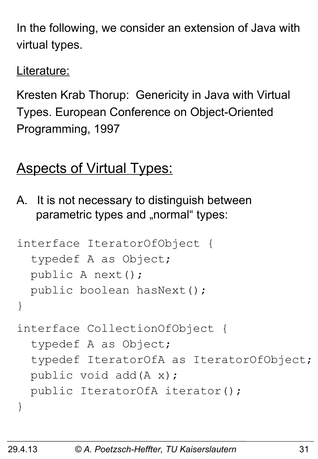In the following, we consider an extension of Java with virtual types.

Literature:

Kresten Krab Thorup: Genericity in Java with Virtual Types. European Conference on Object-Oriented Programming, 1997

## **Aspects of Virtual Types:**

A. It is not necessary to distinguish between parametric types and "normal" types:

```
interface IteratorOfObject {
   typedef A as Object;
   public A next();
  public boolean hasNext();
}
interface CollectionOfObject {
   typedef A as Object;
   typedef IteratorOfA as IteratorOfObject;
  public void add(A x);
  public IteratorOfA iterator();
}
```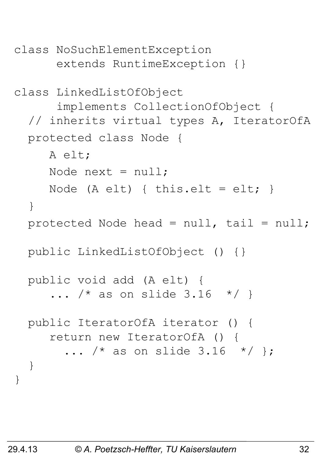```
class NoSuchElementException 
       extends RuntimeException {}
class LinkedListOfObject 
       implements CollectionOfObject {
   // inherits virtual types A, IteratorOfA
   protected class Node {
      A elt;
     Node next = null;Node (A elt) { this.elt = elt; }
   }
  protected Node head = null, tail = null; public LinkedListOfObject () {}
   public void add (A elt) {
     ... /* as on slide 3.16 */ }
   public IteratorOfA iterator () {
      return new IteratorOfA () {
       ... /* as on slide 3.16 */ };
   }
}
```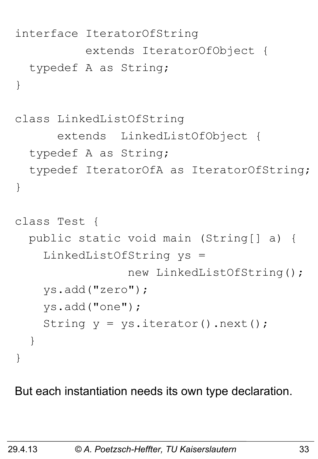```
interface IteratorOfString 
           extends IteratorOfObject {
   typedef A as String;
}
class LinkedListOfString 
       extends LinkedListOfObject {
   typedef A as String;
   typedef IteratorOfA as IteratorOfString;
}
class Test {
   public static void main (String[] a) {
     LinkedListOfString ys = 
                  new LinkedListOfString();
     ys.add("zero"); 
     ys.add("one");
    String y = ys.iterator() .next();
   }
}
```
But each instantiation needs its own type declaration.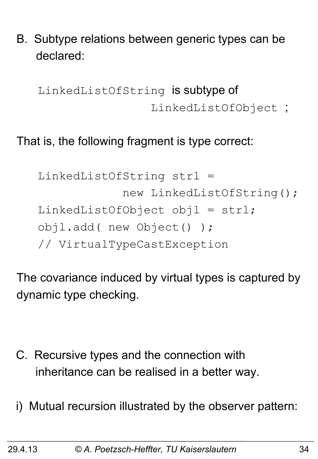B. Subtype relations between generic types can be declared:

LinkedListOfString is subtype of LinkedListOfObject ;

#### That is, the following fragment is type correct:

```
 LinkedListOfString strl = 
             new LinkedListOfString();
LinkedListOfObject obj1 = str1; objl.add( new Object() ); 
 // VirtualTypeCastException
```
The covariance induced by virtual types is captured by dynamic type checking.

- C. Recursive types and the connection with inheritance can be realised in a better way.
- i) Mutual recursion illustrated by the observer pattern: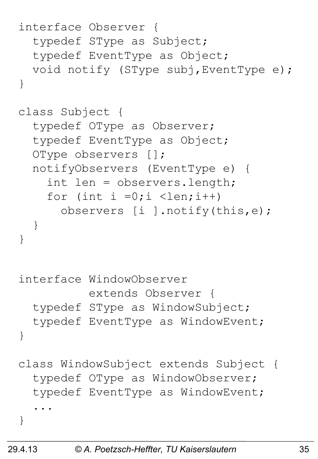```
interface Observer {
   typedef SType as Subject;
   typedef EventType as Object;
   void notify (SType subj,EventType e);
}
class Subject {
   typedef OType as Observer;
   typedef EventType as Object;
   OType observers [];
   notifyObservers (EventType e) {
     int len = observers.length;
    for (int i =0;i <len;i++)
       observers [i ].notify(this,e);
   }
}
interface WindowObserver 
           extends Observer {
   typedef SType as WindowSubject;
   typedef EventType as WindowEvent;
}
class WindowSubject extends Subject {
   typedef OType as WindowObserver;
   typedef EventType as WindowEvent;
 ...
}
```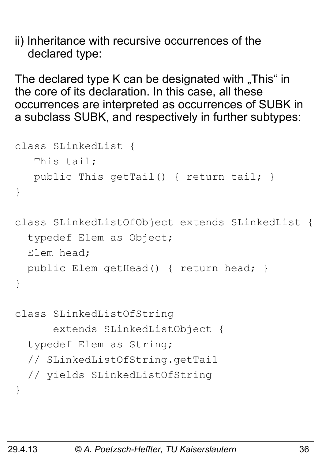ii) Inheritance with recursive occurrences of the declared type:

The declared type K can be designated with  $\sqrt{n}$ This" in the core of its declaration. In this case, all these occurrences are interpreted as occurrences of SUBK in a subclass SUBK, and respectively in further subtypes:

```
class SLinkedList {
    This tail;
    public This getTail() { return tail; }
}
class SLinkedListOfObject extends SLinkedList {
   typedef Elem as Object;
```

```
 Elem head;
  public Elem getHead() { return head; }
}
```

```
class SLinkedListOfString 
       extends SLinkedListObject {
   typedef Elem as String;
   // SLinkedListOfString.getTail 
   // yields SLinkedListOfString
}
```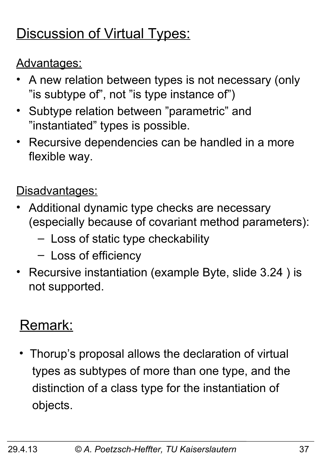# Discussion of Virtual Types:

#### Advantages:

- A new relation between types is not necessary (only "is subtype of", not "is type instance of")
- Subtype relation between "parametric" and "instantiated" types is possible.
- Recursive dependencies can be handled in a more flexible way.

#### Disadvantages:

- Additional dynamic type checks are necessary (especially because of covariant method parameters):
	- Loss of static type checkability
	- Loss of efficiency
- Recursive instantiation (example Byte, slide 3.24 ) is not supported.

# Remark:

• Thorup's proposal allows the declaration of virtual types as subtypes of more than one type, and the distinction of a class type for the instantiation of objects.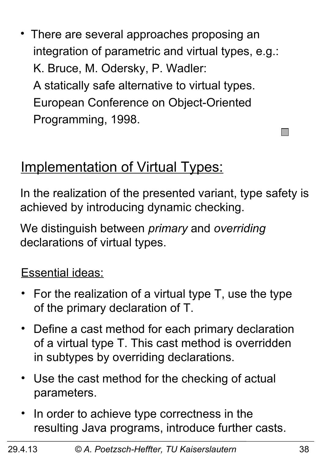• There are several approaches proposing an integration of parametric and virtual types, e.g.: K. Bruce, M. Odersky, P. Wadler: A statically safe alternative to virtual types. European Conference on Object-Oriented Programming, 1998.

### **Implementation of Virtual Types:**

In the realization of the presented variant, type safety is achieved by introducing dynamic checking.

We distinguish between *primary* and *overriding* declarations of virtual types.

#### Essential ideas:

- For the realization of a virtual type T, use the type of the primary declaration of T.
- Define a cast method for each primary declaration of a virtual type T. This cast method is overridden in subtypes by overriding declarations.
- Use the cast method for the checking of actual parameters.
- In order to achieve type correctness in the resulting Java programs, introduce further casts.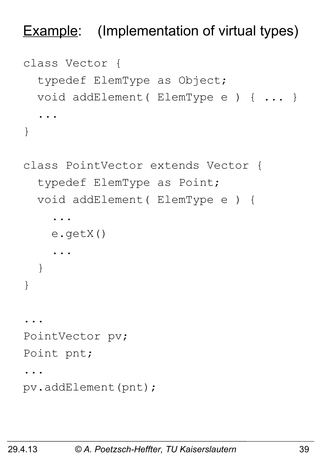**Example:** (Implementation of virtual types)

```
class Vector {
   typedef ElemType as Object;
   void addElement( ElemType e ) { ... }
 ...
}
```

```
class PointVector extends Vector {
   typedef ElemType as Point;
   void addElement( ElemType e ) { 
 ...
     e.getX()
 ...
   }
}
...
PointVector pv;
Point pnt;
...
pv.addElement(pnt);
```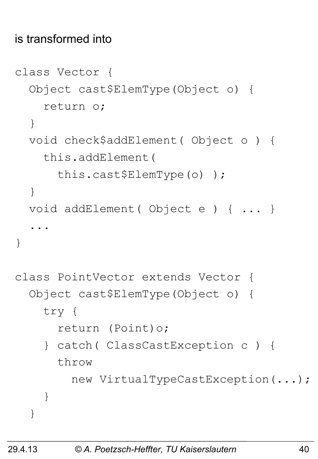#### is transformed into

```
class Vector {
   Object cast$ElemType(Object o) { 
     return o; 
   }
   void check$addElement( Object o ) {
     this.addElement( 
       this.cast$ElemType(o) );
   }
   void addElement( Object e ) { ... }
 ...
}
class PointVector extends Vector {
   Object cast$ElemType(Object o) { 
     try { 
       return (Point)o;
     } catch( ClassCastException c ) {
       throw 
         new VirtualTypeCastException(...);
     }
   }
```